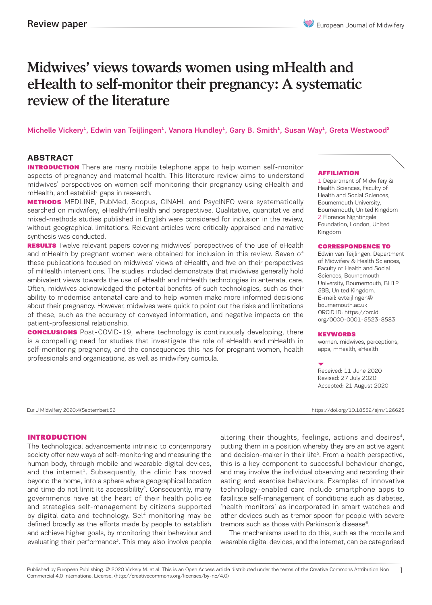# Midwives' views towards women using mHealth and eHealth to self-monitor their pregnancy: A systematic review of the literature

Michelle Vickery<sup>1</sup>, Edwin van Teijlingen<sup>1</sup>, Vanora Hundley<sup>1</sup>, Gary B. Smith<sup>1</sup>, Susan Way<sup>1</sup>, Greta Westwood<sup>2</sup>

### **ABSTRACT**

**INTRODUCTION** There are many mobile telephone apps to help women self-monitor aspects of pregnancy and maternal health. This literature review aims to understand midwives' perspectives on women self-monitoring their pregnancy using eHealth and mHealth, and establish gaps in research.

**METHODS** MEDLINE, PubMed, Scopus, CINAHL and PsycINFO were systematically searched on midwifery, eHealth/mHealth and perspectives. Qualitative, quantitative and mixed-methods studies published in English were considered for inclusion in the review, without geographical limitations. Relevant articles were critically appraised and narrative synthesis was conducted.

**RESULTS** Twelve relevant papers covering midwives' perspectives of the use of eHealth and mHealth by pregnant women were obtained for inclusion in this review. Seven of these publications focused on midwives' views of eHealth, and five on their perspectives of mHealth interventions. The studies included demonstrate that midwives generally hold ambivalent views towards the use of eHealth and mHealth technologies in antenatal care. Often, midwives acknowledged the potential benefits of such technologies, such as their ability to modernise antenatal care and to help women make more informed decisions about their pregnancy. However, midwives were quick to point out the risks and limitations of these, such as the accuracy of conveyed information, and negative impacts on the patient-professional relationship.

**CONCLUSIONS** Post-COVID-19, where technology is continuously developing, there is a compelling need for studies that investigate the role of eHealth and mHealth in self-monitoring pregnancy, and the consequences this has for pregnant women, health professionals and organisations, as well as midwifery curricula.

#### AFFILIATION

1 Department of Midwifery & Health Sciences, Faculty of Health and Social Sciences, Bournemouth University, Bournemouth, United Kingdom 2 Florence Nightingale Foundation, London, United Kingdom

#### CORRESPONDENCE TO

Edwin van Teijlingen. Department of Midwifery & Health Sciences, Faculty of Health and Social Sciences, Bournemouth University, Bournemouth, BH12 5BB, United Kingdom. E-mail: evteijlingen@ bournemouth.ac.uk ORCID ID: https://orcid. org/0000-0001-5523-8583

#### **KEYWORDS**

women, midwives, perceptions, apps, mHealth, eHealth

Received: 11 June 2020 Revised: 27 July 2020 Accepted: 21 August 2020

Eur J Midwifery 2020;4(September):36 https://doi.org/10.18332/ejm/126625

1

#### INTRODUCTION

The technological advancements intrinsic to contemporary society offer new ways of self-monitoring and measuring the human body, through mobile and wearable digital devices, and the internet<sup>1</sup>. Subsequently, the clinic has moved beyond the home, into a sphere where geographical location and time do not limit its accessibility<sup>2</sup>. Consequently, many governments have at the heart of their health policies and strategies self-management by citizens supported by digital data and technology. Self-monitoring may be defined broadly as the efforts made by people to establish and achieve higher goals, by monitoring their behaviour and evaluating their performance<sup>3</sup>. This may also involve people altering their thoughts, feelings, actions and desires<sup>4</sup>, putting them in a position whereby they are an active agent and decision-maker in their life<sup>5</sup>. From a health perspective, this is a key component to successful behaviour change, and may involve the individual observing and recording their eating and exercise behaviours. Examples of innovative technology-enabled care include smartphone apps to facilitate self-management of conditions such as diabetes, 'health monitors' as incorporated in smart watches and other devices such as tremor spoon for people with severe tremors such as those with Parkinson's disease<sup>6</sup>.

The mechanisms used to do this, such as the mobile and wearable digital devices, and the internet, can be categorised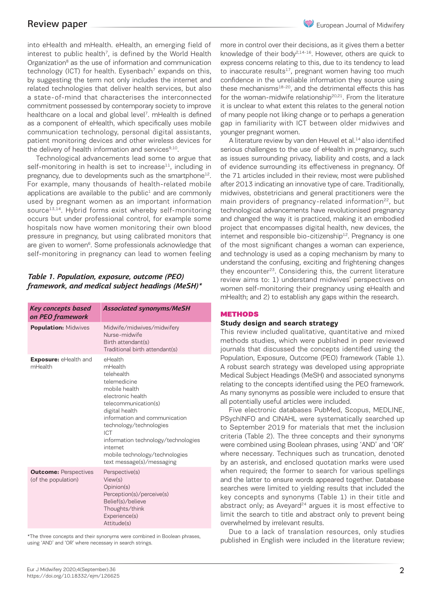into eHealth and mHealth. eHealth, an emerging field of interest to public health<sup>7</sup>, is defined by the World Health Organization<sup>8</sup> as the use of information and communication technology (ICT) for health. Eysenbach<sup>7</sup> expands on this, by suggesting the term not only includes the internet and related technologies that deliver health services, but also a state-of-mind that characterises the interconnected commitment possessed by contemporary society to improve healthcare on a local and global level<sup>7</sup>. mHealth is defined as a component of eHealth, which specifically uses mobile communication technology, personal digital assistants, patient monitoring devices and other wireless devices for the delivery of health information and services<sup>9,10</sup>.

Technological advancements lead some to argue that self-monitoring in health is set to increase $11$ , including in pregnancy, due to developments such as the smartphone<sup>12</sup>. For example, many thousands of health-related mobile applications are available to the public $1$  and are commonly used by pregnant women as an important information source<sup>13,14</sup>. Hybrid forms exist whereby self-monitoring occurs but under professional control, for example some hospitals now have women monitoring their own blood pressure in pregnancy, but using calibrated monitors that are given to women<sup>6</sup>. Some professionals acknowledge that self-monitoring in pregnancy can lead to women feeling

### *Table 1. Population, exposure, outcome (PEO) framework, and medical subject headings (MeSH)\**

| Key concepts based<br>on PEO framework              | <b>Associated synonyms/MeSH</b>                                                                                                                                                                                                                                                                                       |
|-----------------------------------------------------|-----------------------------------------------------------------------------------------------------------------------------------------------------------------------------------------------------------------------------------------------------------------------------------------------------------------------|
| <b>Population: Midwives</b>                         | Midwife/midwives/midwifery<br>Nurse-midwife<br>Birth attendant(s)<br>Traditional birth attendant(s)                                                                                                                                                                                                                   |
| Exposure: eHealth and<br>mHealth                    | eHealth<br>mHealth<br>telehealth<br>telemedicine<br>mobile health<br>electronic health<br>telecommunication(s)<br>digital health<br>information and communication<br>technology/technologies<br>ICT<br>information technology/technologies<br>internet<br>mobile technology/technologies<br>text message(s)/messaging |
| <b>Outcome: Perspectives</b><br>(of the population) | Perspective(s)<br>View(s)<br>Opinion(s)<br>Perception(s)/perceive(s)<br>Belief(s)/believe<br>Thoughts/think<br>Experience(s)<br>Attitude(s)                                                                                                                                                                           |

\*The three concepts and their synonyms were combined in Boolean phrases, using 'AND' and 'OR' where necessary in search strings.

more in control over their decisions, as it gives them a better knowledge of their body2,14-16. However, others are quick to express concerns relating to this, due to its tendency to lead to inaccurate results<sup>17</sup>, pregnant women having too much confidence in the unreliable information they source using these mechanisms<sup>18-20</sup>, and the detrimental effects this has for the woman-midwife relationship<sup>20,21</sup>. From the literature it is unclear to what extent this relates to the general notion of many people not liking change or to perhaps a generation gap in familiarity with ICT between older midwives and younger pregnant women.

A literature review by van den Heuvel et al.<sup>14</sup> also identified serious challenges to the use of eHealth in pregnancy, such as issues surrounding privacy, liability and costs, and a lack of evidence surrounding its effectiveness in pregnancy. Of the 71 articles included in their review, most were published after 2013 indicating an innovative type of care. Traditionally, midwives, obstetricians and general practitioners were the main providers of pregnancy-related information<sup>22</sup>, but technological advancements have revolutionised pregnancy and changed the way it is practiced, making it an embodied project that encompasses digital health, new devices, the internet and responsible bio-citizenship<sup>12</sup>. Pregnancy is one of the most significant changes a woman can experience, and technology is used as a coping mechanism by many to understand the confusing, exciting and frightening changes they encounter23. Considering this, the current literature review aims to: 1) understand midwives' perspectives on women self-monitoring their pregnancy using eHealth and mHealth; and 2) to establish any gaps within the research.

### **METHODS**

### **Study design and search strategy**

This review included qualitative, quantitative and mixed methods studies, which were published in peer reviewed journals that discussed the concepts identified using the Population, Exposure, Outcome (PEO) framework (Table 1). A robust search strategy was developed using appropriate Medical Subject Headings (MeSH) and associated synonyms relating to the concepts identified using the PEO framework. As many synonyms as possible were included to ensure that all potentially useful articles were included.

Five electronic databases PubMed, Scopus, MEDLINE, PSychINFO and CINAHL were systematically searched up to September 2019 for materials that met the inclusion criteria (Table 2). The three concepts and their synonyms were combined using Boolean phrases, using 'AND' and 'OR' where necessary. Techniques such as truncation, denoted by an asterisk, and enclosed quotation marks were used when required; the former to search for various spellings and the latter to ensure words appeared together. Database searches were limited to yielding results that included the key concepts and synonyms (Table 1) in their title and abstract only; as Aveyard<sup>24</sup> argues it is most effective to limit the search to title and abstract only to prevent being overwhelmed by irrelevant results.

Due to a lack of translation resources, only studies published in English were included in the literature review;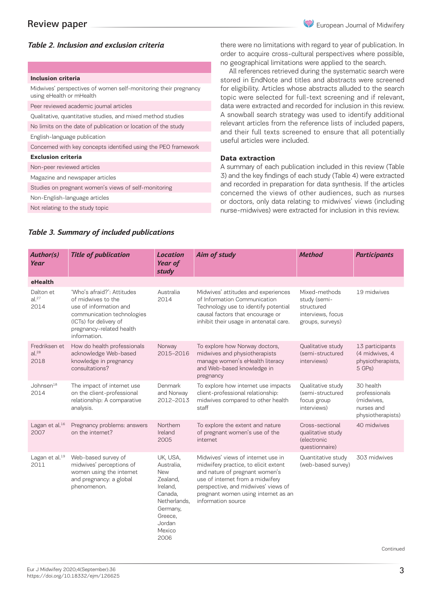### *Table 2. Inclusion and exclusion criteria*

#### **Inclusion criteria**

Midwives' perspectives of women self-monitoring their pregnancy using eHealth or mHealth

Peer reviewed academic journal articles

Qualitative, quantitative studies, and mixed method studies

No limits on the date of publication or location of the study

English-language publication

Concerned with key concepts identified using the PEO framework

#### **Exclusion criteria**

Non-peer reviewed articles

Magazine and newspaper articles

Studies on pregnant women's views of self-monitoring

Non-English-language articles

Not relating to the study topic

there were no limitations with regard to year of publication. In order to acquire cross-cultural perspectives where possible, no geographical limitations were applied to the search.

All references retrieved during the systematic search were stored in EndNote and titles and abstracts were screened for eligibility. Articles whose abstracts alluded to the search topic were selected for full-text screening and if relevant, data were extracted and recorded for inclusion in this review. A snowball search strategy was used to identify additional relevant articles from the reference lists of included papers, and their full texts screened to ensure that all potentially useful articles were included.

### **Data extraction**

A summary of each publication included in this review (Table 3) and the key findings of each study (Table 4) were extracted and recorded in preparation for data synthesis. If the articles concerned the views of other audiences, such as nurses or doctors, only data relating to midwives' views (including nurse-midwives) were extracted for inclusion in this review.

| Author(s)<br>Year                          | <b>Title of publication</b>                                                                                                                                                    | <b>Location</b><br>Year of<br>study                                                                                                        | Aim of study                                                                                                                                                                                                                                         | <b>Method</b>                                                                        | <b>Participants</b>                                                         |
|--------------------------------------------|--------------------------------------------------------------------------------------------------------------------------------------------------------------------------------|--------------------------------------------------------------------------------------------------------------------------------------------|------------------------------------------------------------------------------------------------------------------------------------------------------------------------------------------------------------------------------------------------------|--------------------------------------------------------------------------------------|-----------------------------------------------------------------------------|
| eHealth                                    |                                                                                                                                                                                |                                                                                                                                            |                                                                                                                                                                                                                                                      |                                                                                      |                                                                             |
| Dalton et<br>al. <sup>27</sup><br>2014     | 'Who's afraid?': Attitudes<br>of midwives to the<br>use of information and<br>communication technologies<br>(ICTs) for delivery of<br>pregnancy-related health<br>information. | Australia<br>2014                                                                                                                          | Midwives' attitudes and experiences<br>of Information Communication<br>Technology use to identify potential<br>causal factors that encourage or<br>inhibit their usage in antenatal care.                                                            | Mixed-methods<br>study (semi-<br>structured<br>interviews, focus<br>groups, surveys) | 19 midwives                                                                 |
| Fredriksen et<br>al. <sup>28</sup><br>2018 | How do health professionals<br>acknowledge Web-based<br>knowledge in pregnancy<br>consultations?                                                                               | Norway<br>2015-2016                                                                                                                        | To explore how Norway doctors,<br>midwives and physiotherapists<br>manage women's eHealth literacy<br>and Web-based knowledge in<br>pregnancy                                                                                                        | Qualitative study<br>(semi-structured<br>interviews)                                 | 13 participants<br>(4 midwives, 4<br>physiotherapists,<br>5 GPs)            |
| Johnsen <sup>18</sup><br>2014              | The impact of internet use<br>on the client-professional<br>relationship: A comparative<br>analysis.                                                                           | Denmark<br>and Norway<br>2012-2013                                                                                                         | To explore how internet use impacts<br>client-professional relationship:<br>midwives compared to other health<br>staff                                                                                                                               | Qualitative study<br>(semi-structured<br>focus group<br>interviews)                  | 30 health<br>professionals<br>(midwives,<br>nurses and<br>physiotherapists) |
| Lagan et al. $16$<br>2007                  | Pregnancy problems: answers<br>on the internet?                                                                                                                                | Northern<br>Ireland<br>2005                                                                                                                | To explore the extent and nature<br>of pregnant women's use of the<br>internet                                                                                                                                                                       | Cross-sectional<br>qualitative study<br>(electronic<br>questionnaire)                | 40 midwives                                                                 |
| Lagan et al. <sup>19</sup><br>2011         | Web-based survey of<br>midwives' perceptions of<br>women using the internet<br>and pregnancy: a global<br>phenomenon.                                                          | UK, USA,<br>Australia.<br><b>New</b><br>Zealand,<br>Ireland,<br>Canada.<br>Netherlands.<br>Germany,<br>Greece,<br>Jordan<br>Mexico<br>2006 | Midwives' views of internet use in<br>midwifery practice, to elicit extent<br>and nature of pregnant women's<br>use of internet from a midwifery<br>perspective, and midwives' views of<br>pregnant women using internet as an<br>information source | Quantitative study<br>(web-based survey)                                             | 303 midwives                                                                |

### *Table 3. Summary of included publications*

Continued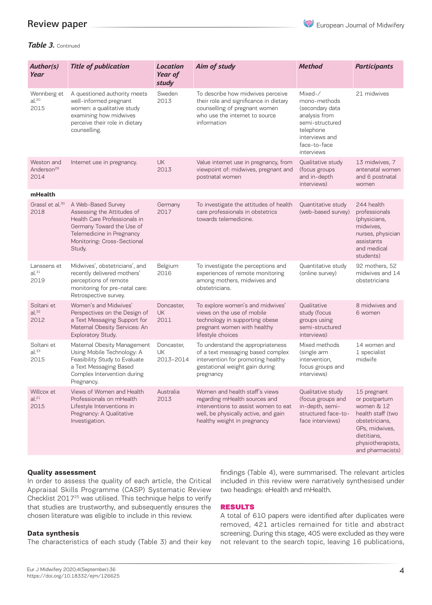### Review paper

### *Table 3.* Continued

| Author(s)<br>Year                            | <b>Title of publication</b>                                                                                                                                                         | Location<br>Year of<br>study    | Aim of study                                                                                                                                                                   | <b>Method</b>                                                                                                                               | <b>Participants</b>                                                                                                                                         |
|----------------------------------------------|-------------------------------------------------------------------------------------------------------------------------------------------------------------------------------------|---------------------------------|--------------------------------------------------------------------------------------------------------------------------------------------------------------------------------|---------------------------------------------------------------------------------------------------------------------------------------------|-------------------------------------------------------------------------------------------------------------------------------------------------------------|
| Wennberg et<br>al. <sup>20</sup><br>2015     | A questioned authority meets<br>well-informed pregnant<br>women: a qualitative study<br>examining how midwives<br>perceive their role in dietary<br>counselling.                    | Sweden<br>2013                  | To describe how midwives perceive<br>their role and significance in dietary<br>counselling of pregnant women<br>who use the internet to source<br>information                  | Mixed-/<br>mono-methods<br>(secondary data<br>analysis from<br>semi-structured<br>telephone<br>interviews and<br>face-to-face<br>interviews | 21 midwives                                                                                                                                                 |
| Weston and<br>Anderson <sup>29</sup><br>2014 | Internet use in pregnancy.                                                                                                                                                          | <b>UK</b><br>2013               | Value internet use in pregnancy, from<br>viewpoint of: midwives, pregnant and<br>postnatal women                                                                               | Qualitative study<br>(focus groups<br>and in-depth<br>interviews)                                                                           | 13 midwives, 7<br>antenatal women<br>and 6 postnatal<br>women                                                                                               |
| mHealth                                      |                                                                                                                                                                                     |                                 |                                                                                                                                                                                |                                                                                                                                             |                                                                                                                                                             |
| Grassl et al. <sup>30</sup><br>2018          | A Web-Based Survey<br>Assessing the Attitudes of<br>Health Care Professionals in<br>Germany Toward the Use of<br>Telemedicine in Pregnancy<br>Monitoring: Cross-Sectional<br>Study. | Germany<br>2017                 | To investigate the attitudes of health<br>care professionals in obstetrics<br>towards telemedicine.                                                                            | Quantitative study<br>(web-based survey)                                                                                                    | 244 health<br>professionals<br>(physicians,<br>midwives,<br>nurses, physician<br>assistants<br>and medical<br>students)                                     |
| Lanssens et<br>al. <sup>31</sup><br>2019     | Midwives', obstetricians', and<br>recently delivered mothers'<br>perceptions of remote<br>monitoring for pre-natal care:<br>Retrospective survey.                                   | Belgium<br>2016                 | To investigate the perceptions and<br>experiences of remote monitoring<br>among mothers, midwives and<br>obstetricians.                                                        | Quantitative study<br>(online survey)                                                                                                       | 92 mothers, 52<br>midwives and 14<br>obstetricians                                                                                                          |
| Soltani et<br>al. <sup>32</sup><br>2012      | Women's and Midwives'<br>Perspectives on the Design of<br>a Text Messaging Support for<br>Maternal Obesity Services: An<br>Exploratory Study.                                       | Doncaster,<br><b>UK</b><br>2011 | To explore women's and midwives'<br>views on the use of mobile<br>technology in supporting obese<br>pregnant women with healthy<br>lifestyle choices                           | Qualitative<br>study (focus<br>groups using<br>semi-structured<br>interviews)                                                               | 8 midwives and<br>6 women                                                                                                                                   |
| Soltani et<br>al. <sup>33</sup><br>2015      | Maternal Obesity Management<br>Using Mobile Technology: A<br>Feasibility Study to Evaluate<br>a Text Messaging Based<br>Complex Intervention during<br>Pregnancy.                   | Doncaster,<br>UK<br>2013-2014   | To understand the appropriateness<br>of a text messaging based complex<br>intervention for promoting healthy<br>gestational weight gain during<br>pregnancy                    | Mixed methods<br>(single arm<br>intervention,<br>focus groups and<br>interviews)                                                            | 14 women and<br>1 specialist<br>midwife                                                                                                                     |
| Willcox et<br>$al.^{21}$<br>2015             | Views of Women and Health<br>Professionals on mHealth<br>Lifestyle Interventions in<br>Pregnancy: A Qualitative<br>Investigation.                                                   | Australia<br>2013               | Women and health staff's views<br>regarding mHealth sources and<br>interventions to assist women to eat<br>well, be physically active, and gain<br>healthy weight in pregnancy | Qualitative study<br>(focus groups and<br>in-depth, semi-<br>structured face-to-<br>face interviews)                                        | 15 pregnant<br>or postpartum<br>women & 12<br>health staff (two<br>obstetricians,<br>GPs, midwives,<br>dietitians.<br>physiotherapists,<br>and pharmacists) |

### **Quality assessment**

In order to assess the quality of each article, the Critical Appraisal Skills Programme (CASP) Systematic Review Checklist 2017<sup>25</sup> was utilised. This technique helps to verify that studies are trustworthy, and subsequently ensures the chosen literature was eligible to include in this review.

#### **Data synthesis**

The characteristics of each study (Table 3) and their key

findings (Table 4), were summarised. The relevant articles included in this review were narratively synthesised under two headings: eHealth and mHealth.

### RESULTS

A total of 610 papers were identified after duplicates were removed, 421 articles remained for title and abstract screening. During this stage, 405 were excluded as they were not relevant to the search topic, leaving 16 publications,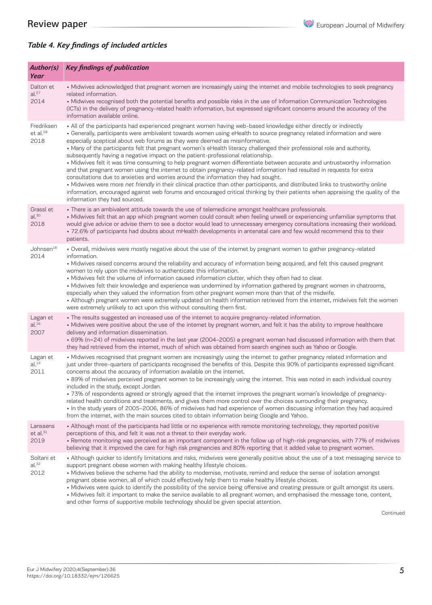European Journal of Midwifery

## *Table 4. Key findings of included articles*

| Author(s)<br>Year                          | <b>Key findings of publication</b>                                                                                                                                                                                                                                                                                                                                                                                                                                                                                                                                                                                                                                                                                                                                                                                                                                                                                                                                                                                                                                                                                                                                                               |
|--------------------------------------------|--------------------------------------------------------------------------------------------------------------------------------------------------------------------------------------------------------------------------------------------------------------------------------------------------------------------------------------------------------------------------------------------------------------------------------------------------------------------------------------------------------------------------------------------------------------------------------------------------------------------------------------------------------------------------------------------------------------------------------------------------------------------------------------------------------------------------------------------------------------------------------------------------------------------------------------------------------------------------------------------------------------------------------------------------------------------------------------------------------------------------------------------------------------------------------------------------|
| Dalton et<br>al. <sup>27</sup><br>2014     | • Midwives acknowledged that pregnant women are increasingly using the internet and mobile technologies to seek pregnancy<br>related information.<br>• Midwives recognised both the potential benefits and possible risks in the use of Information Communication Technologies<br>(ICTs) in the delivery of pregnancy-related health information, but expressed significant concerns around the accuracy of the<br>information available online.                                                                                                                                                                                                                                                                                                                                                                                                                                                                                                                                                                                                                                                                                                                                                 |
| Fredriksen<br>et al. <sup>28</sup><br>2018 | • All of the participants had experienced pregnant women having web-based knowledge either directly or indirectly<br>• Generally, participants were ambivalent towards women using eHealth to source pregnancy related information and were<br>especially sceptical about web forums as they were deemed as misinformative.<br>• Many of the participants felt that pregnant women's eHealth literacy challenged their professional role and authority,<br>subsequently having a negative impact on the patient-professional relationship.<br>• Midwives felt it was time consuming to help pregnant women differentiate between accurate and untrustworthy information<br>and that pregnant women using the internet to obtain pregnancy-related information had resulted in requests for extra<br>consultations due to anxieties and worries around the information they had sought.<br>• Midwives were more net friendly in their clinical practice than other participants, and distributed links to trustworthy online<br>information, encouraged against web forums and encouraged critical thinking by their patients when appraising the quality of the<br>information they had sourced. |
| Grassl et<br>al. <sup>30</sup><br>2018     | • There is an ambivalent attitude towards the use of telemedicine amongst healthcare professionals.<br>• Midwives felt that an app which pregnant women could consult when feeling unwell or experiencing unfamiliar symptoms that<br>would give advice or advise them to see a doctor would lead to unnecessary emergency consultations increasing their workload.<br>· 72.6% of participants had doubts about mHealth developments in antenatal care and few would recommend this to their<br>patients.                                                                                                                                                                                                                                                                                                                                                                                                                                                                                                                                                                                                                                                                                        |
| Johnsen <sup>18</sup><br>2014              | . Overall, midwives were mostly negative about the use of the internet by pregnant women to gather pregnancy-related<br>information.<br>• Midwives raised concerns around the reliability and accuracy of information being acquired, and felt this caused pregnant<br>women to rely upon the midwives to authenticate this information.<br>• Midwives felt the volume of information caused information clutter, which they often had to clear.<br>• Midwives felt their knowledge and experience was undermined by information gathered by pregnant women in chatrooms,<br>especially when they valued the information from other pregnant women more than that of the midwife.<br>• Although pregnant women were extremely updated on health information retrieved from the internet, midwives felt the women<br>were extremely unlikely to act upon this without consulting them first.                                                                                                                                                                                                                                                                                                      |
| Lagan et<br>al. <sup>16</sup><br>2007      | • The results suggested an increased use of the internet to acquire pregnancy-related information.<br>• Midwives were positive about the use of the internet by pregnant women, and felt it has the ability to improve healthcare<br>delivery and information dissemination.<br>· 69% (n=24) of midwives reported in the last year (2004-2005) a pregnant woman had discussed information with them that<br>they had retrieved from the internet, much of which was obtained from search engines such as Yahoo or Google.                                                                                                                                                                                                                                                                                                                                                                                                                                                                                                                                                                                                                                                                        |
| Lagan et<br>al. <sup>19</sup><br>2011      | • Midwives recognised that pregnant women are increasingly using the internet to gather pregnancy related information and<br>just under three-quarters of participants recognised the benefits of this. Despite this 90% of participants expressed significant<br>concerns about the accuracy of information available on the internet.<br>• 89% of midwives perceived pregnant women to be increasingly using the internet. This was noted in each individual country<br>included in the study, except Jordan.<br>• 73% of respondents agreed or strongly agreed that the internet improves the pregnant woman's knowledge of pregnancy-<br>related health conditions and treatments, and gives them more control over the choices surrounding their pregnancy.<br>• In the study years of 2005-2006, 86% of midwives had had experience of women discussing information they had acquired<br>from the internet, with the main sources cited to obtain information being Google and Yahoo.                                                                                                                                                                                                      |
| Lanssens<br>et al. <sup>31</sup><br>2019   | • Although most of the participants had little or no experience with remote monitoring technology, they reported positive<br>perceptions of this, and felt it was not a threat to their everyday work.<br>• Remote monitoring was perceived as an important component in the follow up of high-risk pregnancies, with 77% of midwives<br>believing that it improved the care for high risk pregnancies and 80% reporting that it added value to pregnant women.                                                                                                                                                                                                                                                                                                                                                                                                                                                                                                                                                                                                                                                                                                                                  |
| Soltani et<br>al. <sup>32</sup><br>2012    | • Although quicker to identify limitations and risks, midwives were generally positive about the use of a text messaging service to<br>support pregnant obese women with making healthy lifestyle choices.<br>• Midwives believe the scheme had the ability to modernise, motivate, remind and reduce the sense of isolation amongst<br>pregnant obese women, all of which could effectively help them to make healthy lifestyle choices.<br>• Midwives were quick to identify the possibility of the service being offensive and creating pressure or guilt amongst its users.<br>• Midwives felt it important to make the service available to all pregnant women, and emphasised the message tone, content,                                                                                                                                                                                                                                                                                                                                                                                                                                                                                   |

and other forms of supportive mobile technology should be given special attention.

Continued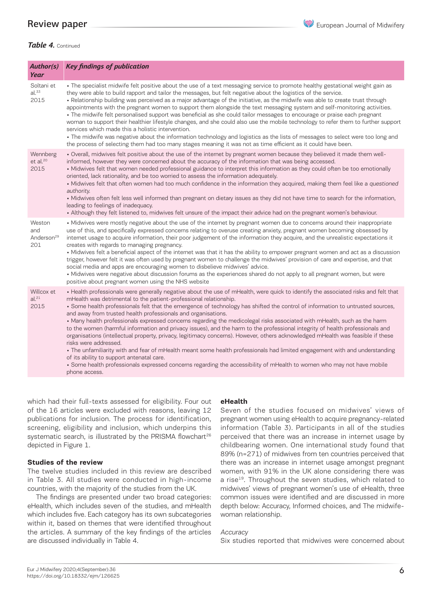### Review paper

### *Table 4.* Continued

| Author(s)<br>Year                              | <b>Key findings of publication</b>                                                                                                                                                                                                                                                                                                                                                                                                                                                                                                                                                                                                                                                                                                                                                                                                                                                                                                                                                                                                                                                                                                                        |
|------------------------------------------------|-----------------------------------------------------------------------------------------------------------------------------------------------------------------------------------------------------------------------------------------------------------------------------------------------------------------------------------------------------------------------------------------------------------------------------------------------------------------------------------------------------------------------------------------------------------------------------------------------------------------------------------------------------------------------------------------------------------------------------------------------------------------------------------------------------------------------------------------------------------------------------------------------------------------------------------------------------------------------------------------------------------------------------------------------------------------------------------------------------------------------------------------------------------|
| Soltani et<br>al. <sup>33</sup><br>2015        | • The specialist midwife felt positive about the use of a text messaging service to promote healthy gestational weight gain as<br>they were able to build rapport and tailor the messages, but felt negative about the logistics of the service.<br>· Relationship building was perceived as a major advantage of the initiative, as the midwife was able to create trust through<br>appointments with the pregnant women to support them alongside the text messaging system and self-monitoring activities.<br>• The midwife felt personalised support was beneficial as she could tailor messages to encourage or praise each pregnant<br>woman to support their healthier lifestyle changes, and she could also use the mobile technology to refer them to further support<br>services which made this a holistic intervention.<br>· The midwife was negative about the information technology and logistics as the lists of messages to select were too long and<br>the process of selecting them had too many stages meaning it was not as time efficient as it could have been.                                                                    |
| Wennberg<br>et al. <sup>20</sup><br>2015       | - Overall, midwives felt positive about the use of the internet by pregnant women because they believed it made them well-<br>informed, however they were concerned about the accuracy of the information that was being accessed.<br>• Midwives felt that women needed professional guidance to interpret this information as they could often be too emotionally<br>oriented, lack rationality, and be too worried to assess the information adequately.<br>• Midwives felt that often women had too much confidence in the information they acquired, making them feel like a questioned<br>authority.<br>• Midwives often felt less well informed than pregnant on dietary issues as they did not have time to search for the information,<br>leading to feelings of inadequacy.<br>• Although they felt listened to, midwives felt unsure of the impact their advice had on the pregnant women's behaviour.                                                                                                                                                                                                                                          |
| Weston<br>and<br>Anderson <sup>29</sup><br>201 | • Midwives were mostly negative about the use of the internet by pregnant women due to concerns around their inappropriate<br>use of this, and specifically expressed concerns relating to overuse creating anxiety, pregnant women becoming obsessed by<br>internet usage to acquire information, their poor judgement of the information they acquire, and the unrealistic expectations it<br>creates with regards to managing pregnancy.<br>• Midwives felt a beneficial aspect of the internet was that it has the ability to empower pregnant women and act as a discussion<br>trigger, however felt it was often used by pregnant women to challenge the midwives' provision of care and expertise, and that<br>social media and apps are encouraging women to disbelieve midwives' advice.<br>• Midwives were negative about discussion forums as the experiences shared do not apply to all pregnant women, but were<br>positive about pregnant women using the NHS website                                                                                                                                                                       |
| Willcox et<br>al. <sup>21</sup><br>2015        | • Health professionals were generally negative about the use of mHealth, were quick to identify the associated risks and felt that<br>mHealth was detrimental to the patient-professional relationship.<br>. Some health professionals felt that the emergence of technology has shifted the control of information to untrusted sources,<br>and away from trusted health professionals and organisations.<br>• Many health professionals expressed concerns regarding the medicolegal risks associated with mHealth, such as the harm<br>to the women (harmful information and privacy issues), and the harm to the professional integrity of health professionals and<br>organisations (intellectual property, privacy, legitimacy concerns). However, others acknowledged mHealth was feasible if these<br>risks were addressed.<br>· The unfamiliarity with and fear of mHealth meant some health professionals had limited engagement with and understanding<br>of its ability to support antenatal care.<br>• Some health professionals expressed concerns regarding the accessibility of mHealth to women who may not have mobile<br>phone access. |

which had their full-texts assessed for eligibility. Four out of the 16 articles were excluded with reasons, leaving 12 publications for inclusion. The process for identification, screening, eligibility and inclusion, which underpins this systematic search, is illustrated by the PRISMA flowchart<sup>26</sup> depicted in Figure 1.

### **Studies of the review**

The twelve studies included in this review are described in Table 3. All studies were conducted in high-income countries, with the majority of the studies from the UK.

The findings are presented under two broad categories: eHealth, which includes seven of the studies, and mHealth which includes five. Each category has its own subcategories within it, based on themes that were identified throughout the articles. A summary of the key findings of the articles are discussed individually in Table 4.

### **eHealth**

Seven of the studies focused on midwives' views of pregnant women using eHealth to acquire pregnancy-related information (Table 3). Participants in all of the studies perceived that there was an increase in internet usage by childbearing women. One international study found that 89% (n=271) of midwives from ten countries perceived that there was an increase in internet usage amongst pregnant women, with 91% in the UK alone considering there was a rise<sup>19</sup>. Throughout the seven studies, which related to midwives' views of pregnant women's use of eHealth, three common issues were identified and are discussed in more depth below: Accuracy, Informed choices, and The midwifewoman relationship.

#### **Accuracy**

Six studies reported that midwives were concerned about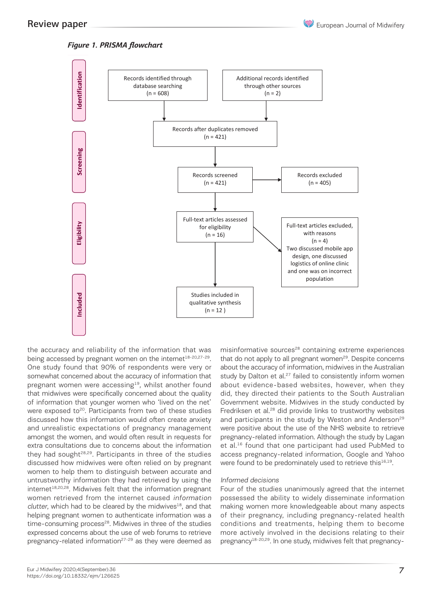European Journal of Midwifery

### *Figure 1. PRISMA flowchart*



the accuracy and reliability of the information that was being accessed by pregnant women on the internet<sup>18-20,27-29</sup>. One study found that 90% of respondents were very or somewhat concerned about the accuracy of information that pregnant women were accessing $19$ , whilst another found that midwives were specifically concerned about the quality of information that younger women who 'lived on the net' were exposed to<sup>20</sup>. Participants from two of these studies discussed how this information would often create anxiety and unrealistic expectations of pregnancy management amongst the women, and would often result in requests for extra consultations due to concerns about the information they had sought<sup>28,29</sup>. Participants in three of the studies discussed how midwives were often relied on by pregnant women to help them to distinguish between accurate and untrustworthy information they had retrieved by using the internet<sup>18,20,28</sup>. Midwives felt that the information pregnant women retrieved from the internet caused information clutter, which had to be cleared by the midwives $^{18}$ , and that helping pregnant women to authenticate information was a time-consuming process<sup>28</sup>. Midwives in three of the studies expressed concerns about the use of web forums to retrieve pregnancy-related information<sup>27-29</sup> as they were deemed as

misinformative sources<sup>28</sup> containing extreme experiences that do not apply to all pregnant women<sup>29</sup>. Despite concerns about the accuracy of information, midwives in the Australian study by Dalton et al.<sup>27</sup> failed to consistently inform women about evidence-based websites, however, when they did, they directed their patients to the South Australian Government website. Midwives in the study conducted by Fredriksen et al.<sup>28</sup> did provide links to trustworthy websites and participants in the study by Weston and Anderson<sup>29</sup> were positive about the use of the NHS website to retrieve pregnancy-related information. Although the study by Lagan et al.<sup>16</sup> found that one participant had used PubMed to access pregnancy-related information, Google and Yahoo were found to be predominately used to retrieve this<sup>16,19</sup>.

### Informed decisions

Four of the studies unanimously agreed that the internet possessed the ability to widely disseminate information making women more knowledgeable about many aspects of their pregnancy, including pregnancy-related health conditions and treatments, helping them to become more actively involved in the decisions relating to their pregnancy<sup>18-20,29</sup>. In one study, midwives felt that pregnancy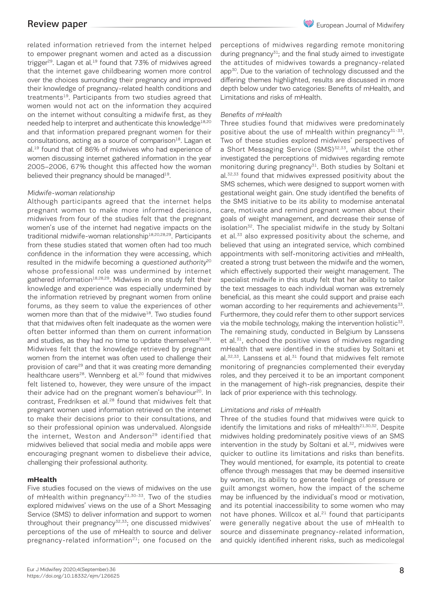related information retrieved from the internet helped to empower pregnant women and acted as a discussion trigger $29$ . Lagan et al.<sup>19</sup> found that 73% of midwives agreed that the internet gave childbearing women more control over the choices surrounding their pregnancy and improved their knowledge of pregnancy-related health conditions and treatments<sup>19</sup>. Participants from two studies agreed that women would not act on the information they acquired on the internet without consulting a midwife first, as they needed help to interpret and authenticate this knowledge<sup>18,20</sup> and that information prepared pregnant women for their consultations, acting as a source of comparison $18$ . Lagan et al.<sup>19</sup> found that of 86% of midwives who had experience of women discussing internet gathered information in the year 2005–2006, 67% thought this affected how the woman believed their pregnancy should be managed $19$ .

### Midwife-woman relationship

Although participants agreed that the internet helps pregnant women to make more informed decisions, midwives from four of the studies felt that the pregnant women's use of the internet had negative impacts on the traditional midwife-woman relationship<sup>18,20,28,29</sup>. Participants from these studies stated that women often had too much confidence in the information they were accessing, which resulted in the midwife becoming a questioned authority<sup>20</sup> whose professional role was undermined by internet gathered information<sup>18,28,29</sup>. Midwives in one study felt their knowledge and experience was especially undermined by the information retrieved by pregnant women from online forums, as they seem to value the experiences of other women more than that of the midwive<sup>18</sup>. Two studies found that that midwives often felt inadequate as the women were often better informed than them on current information and studies, as they had no time to update themselves<sup>20,28</sup>. Midwives felt that the knowledge retrieved by pregnant women from the internet was often used to challenge their provision of care<sup>29</sup> and that it was creating more demanding healthcare users<sup>28</sup>. Wennberg et al.<sup>20</sup> found that midwives felt listened to, however, they were unsure of the impact their advice had on the pregnant women's behaviour<sup>20</sup>. In contrast. Fredriksen et al.<sup>28</sup> found that midwives felt that pregnant women used information retrieved on the internet to make their decisions prior to their consultations, and so their professional opinion was undervalued. Alongside the internet, Weston and Anderson<sup>29</sup> identified that midwives believed that social media and mobile apps were encouraging pregnant women to disbelieve their advice, challenging their professional authority.

### **mHealth**

Five studies focused on the views of midwives on the use of mHealth within pregnancy<sup>21,30-33</sup>. Two of the studies explored midwives' views on the use of a Short Messaging Service (SMS) to deliver information and support to women throughout their pregnancy<sup>32,33</sup>; one discussed midwives' perceptions of the use of mHealth to source and deliver pregnancy-related information<sup>21</sup>; one focused on the

perceptions of midwives regarding remote monitoring during pregnancy $31$ ; and the final study aimed to investigate the attitudes of midwives towards a pregnancy-related app<sup>30</sup>. Due to the variation of technology discussed and the differing themes highlighted, results are discussed in more depth below under two categories: Benefits of mHealth, and Limitations and risks of mHealth.

### Benefits of mHealth

Three studies found that midwives were predominately positive about the use of mHealth within pregnancy $31-33$ . Two of these studies explored midwives' perspectives of a Short Messaging Service (SMS)<sup>32,33</sup>, whilst the other investigated the perceptions of midwives regarding remote monitoring during pregnancy<sup>31</sup>. Both studies by Soltani et al.<sup>32,33</sup> found that midwives expressed positivity about the SMS schemes, which were designed to support women with gestational weight gain. One study identified the benefits of the SMS initiative to be its ability to modernise antenatal care, motivate and remind pregnant women about their goals of weight management, and decrease their sense of isolation<sup>32</sup>. The specialist midwife in the study by Soltani et al.<sup>33</sup> also expressed positivity about the scheme, and believed that using an integrated service, which combined appointments with self-monitoring activities and mHealth, created a strong trust between the midwife and the women, which effectively supported their weight management. The specialist midwife in this study felt that her ability to tailor the text messages to each individual woman was extremely beneficial, as this meant she could support and praise each woman according to her requirements and achievements<sup>33</sup>. Furthermore, they could refer them to other support services via the mobile technology, making the intervention holistic $33$ . The remaining study, conducted in Belgium by Lanssens et al.<sup>31</sup>, echoed the positive views of midwives regarding mHealth that were identified in the studies by Soltani et  $al.<sup>32,33</sup>$ . Lanssens et al. $31$  found that midwives felt remote monitoring of pregnancies complemented their everyday roles, and they perceived it to be an important component in the management of high-risk pregnancies, despite their lack of prior experience with this technology.

### Limitations and risks of mHealth

Three of the studies found that midwives were quick to identify the limitations and risks of mHealth<sup>21,30,32</sup>. Despite midwives holding predominately positive views of an SMS intervention in the study by Soltani et al. $32$ , midwives were quicker to outline its limitations and risks than benefits. They would mentioned, for example, its potential to create offence through messages that may be deemed insensitive by women, its ability to generate feelings of pressure or guilt amongst women, how the impact of the scheme may be influenced by the individual's mood or motivation, and its potential inaccessibility to some women who may not have phones. Willcox et al.<sup>21</sup> found that participants were generally negative about the use of mHealth to source and disseminate pregnancy-related information, and quickly identified inherent risks, such as medicolegal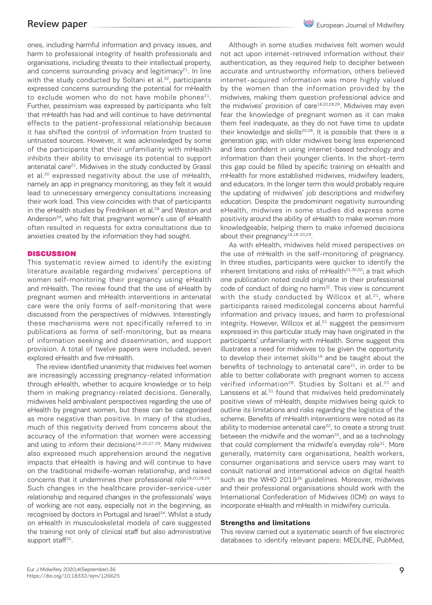ones, including harmful information and privacy issues, and harm to professional integrity of health professionals and organisations, including threats to their intellectual property, and concerns surrounding privacy and legitimacy $21$ . In line with the study conducted by Soltani et al. $32$ , participants expressed concerns surrounding the potential for mHealth to exclude women who do not have mobile phones $21$ . Further, pessimism was expressed by participants who felt that mHealth has had and will continue to have detrimental effects to the patient-professional relationship because it has shifted the control of information from trusted to untrusted sources. However, it was acknowledged by some of the participants that their unfamiliarity with mHealth inhibits their ability to envisage its potential to support antenatal care<sup>21</sup>. Midwives in the study conducted by Grassl et al.<sup>30</sup> expressed negativity about the use of mHealth, namely an app in pregnancy monitoring, as they felt it would lead to unnecessary emergency consultations increasing their work load. This view coincides with that of participants in the eHealth studies by Fredriksen et al.<sup>28</sup> and Weston and Anderson<sup>29</sup>, who felt that pregnant women's use of eHealth often resulted in requests for extra consultations due to anxieties created by the information they had sought.

### **DISCUSSION**

This systematic review aimed to identify the existing literature available regarding midwives' perceptions of women self-monitoring their pregnancy using eHealth and mHealth. The review found that the use of eHealth by pregnant women and mHealth interventions in antenatal care were the only forms of self-monitoring that were discussed from the perspectives of midwives. Interestingly these mechanisms were not specifically referred to in publications as forms of self-monitoring, but as means of information seeking and dissemination, and support provision. A total of twelve papers were included, seven explored eHealth and five mHealth.

The review identified unanimity that midwives feel women are increasingly accessing pregnancy-related information through eHealth, whether to acquire knowledge or to help them in making pregnancy-related decisions. Generally, midwives held ambivalent perspectives regarding the use of eHealth by pregnant women, but these can be categorised as more negative than positive. In many of the studies, much of this negativity derived from concerns about the accuracy of the information that women were accessing and using to inform their decisions<sup>18-20,27-29</sup>. Many midwives also expressed much apprehension around the negative impacts that eHealth is having and will continue to have on the traditional midwife-woman relationship, and raised concerns that it undermines their professional role<sup>18,20,28,29</sup>. Such changes in the healthcare provider–service-user relationship and required changes in the professionals' ways of working are not easy, especially not in the beginning, as recognised by doctors in Portugal and Israel<sup>34</sup>. Whilst a study on eHealth in musculoskeletal models of care suggested the training not only of clinical staff but also administrative support staff<sup>35</sup>.

Although in some studies midwives felt women would not act upon internet-retrieved information without their authentication, as they required help to decipher between accurate and untrustworthy information, others believed internet-acquired information was more highly valued by the women than the information provided by the midwives, making them question professional advice and the midwives' provision of care<sup>18,20,28,29</sup>. Midwives may even fear the knowledge of pregnant women as it can make them feel inadequate, as they do not have time to update their knowledge and skills<sup>20,28</sup>. It is possible that there is a generation gap, with older midwives being less experienced and less confident in using internet-based technology and information than their younger clients. In the short-term this gap could be filled by specific training on eHealth and mHealth for more established midwives, midwifery leaders, and educators. In the longer term this would probably require the updating of midwives' job descriptions and midwifery education. Despite the predominant negativity surrounding eHealth, midwives in some studies did express some positivity around the ability of eHealth to make women more knowledgeable, helping them to make informed decisions about their pregnancy<sup>16,18-20,29</sup>.

As with eHealth, midwives held mixed perspectives on the use of mHealth in the self-monitoring of pregnancy. In three studies, participants were quicker to identify the inherent limitations and risks of mHealth $21,30,32$ ; a trait which one publication noted could originate in their professional code of conduct of doing no harm<sup>32</sup>. This view is concurrent with the study conducted by Willcox et al. $21$ , where participants raised medicolegal concerns about harmful information and privacy issues, and harm to professional integrity. However, Willcox et al.<sup>21</sup> suggest the pessimism expressed in this particular study may have originated in the participants' unfamiliarity with mHealth. Some suggest this illustrates a need for midwives to be given the opportunity to develop their internet skills<sup>19</sup> and be taught about the benefits of technology to antenatal care $21$ , in order to be able to better collaborate with pregnant women to access verified information<sup>28</sup>. Studies by Soltani et al.<sup>33</sup> and Lanssens et al. $31$  found that midwives held predominately positive views of mHealth, despite midwives being quick to outline its limitations and risks regarding the logistics of the scheme. Benefits of mHealth interventions were noted as its ability to modernise antenatal care<sup>32</sup>, to create a strong trust between the midwife and the woman $33$ , and as a technology that could complement the midwife's everyday role $31$ . More generally, maternity care organisations, health workers, consumer organisations and service users may want to consult national and international advice on digital health such as the WHO 2019<sup>36</sup> guidelines. Moreover, midwives and their professional organisations should work with the International Confederation of Midwives (ICM) on ways to incorporate eHealth and mHealth in midwifery curricula.

#### **Strengths and limitations**

This review carried out a systematic search of five electronic databases to identify relevant papers: MEDLINE, PubMed,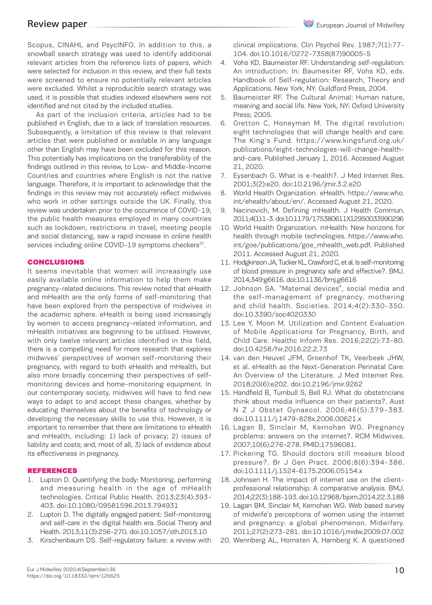### Review paper

Scopus, CINAHL and PsycINFO. In addition to this, a snowball search strategy was used to identify additional relevant articles from the reference lists of papers, which were selected for inclusion in this review, and their full texts were screened to ensure no potentially relevant articles were excluded. Whilst a reproducible search strategy was used, it is possible that studies indexed elsewhere were not identified and not cited by the included studies.

As part of the inclusion criteria, articles had to be published in English, due to a lack of translation resources. Subsequently, a limitation of this review is that relevant articles that were published or available in any language other than English may have been excluded for this reason. This potentially has implications on the transferability of the findings outlined in this review, to Low- and Middle-Income Countries and countries where English is not the native language. Therefore, it is important to acknowledge that the findings in this review may not accurately reflect midwives who work in other settings outside the UK. Finally, this review was undertaken prior to the occurrence of COVID-19; the public health measures employed in many countries such as lockdown, restrictions in travel, meeting people and social distancing, saw a rapid increase in online health services including online COVID-19 symptoms checkers<sup>37</sup>.

### CONCLUSIONS

It seems inevitable that women will increasingly use easily available online information to help them make pregnancy-related decisions. This review noted that eHealth and mHealth are the only forms of self-monitoring that have been explored from the perspective of midwives in the academic sphere. eHealth is being used increasingly by women to access pregnancy-related information, and mHealth initiatives are beginning to be utilised. However, with only twelve relevant articles identified in this field, there is a compelling need for more research that explores midwives' perspectives of women self-monitoring their pregnancy, with regard to both eHealth and mHealth, but also more broadly concerning their perspectives of selfmonitoring devices and home-monitoring equipment. In our contemporary society, midwives will have to find new ways to adapt to and accept these changes, whether by educating themselves about the benefits of technology or developing the necessary skills to use this. However, it is important to remember that there are limitations to eHealth and mHealth, including: 1) lack of privacy; 2) issues of liability and costs; and, most of all, 3) lack of evidence about its effectiveness in pregnancy.

#### REFERENCES

- 1. Lupton D. Quantifying the body: Monitoring, performing and measuring health in the age of mHealth technologies. Critical Public Health. 2013;23(4):393- 403. doi:10.1080/09581596.2013.794931
- 2. Lupton D. The digitally engaged patient: Self-monitoring and self-care in the digital health era. Social Theory and Health. 2013;11(3):256-270. doi:10.1057/sth.2013.10
- 3. Kirschenbaum DS. Self-regulatory failure: a review with

clinical implications. Clin Psychol Rev. 1987;7(1):77- 104. doi:10.1016/0272-7358(87)90005-5

- 4. Vohs KD, Baumeister RF. Understanding self-regulation: An introduction. In: Baumesiter RF, Vohs KD, eds. Handbook of Self-regulation: Research, Theory and Applications. New York, NY: Guildford Press, 2004.
- 5. Baumeister RF. The Cultural Animal: Human nature, meaning and social life. New York, NY: Oxford University Press; 2005.
- 6. Gretton C, Honeyman M. The digital revolution: eight technologies that will change health and care. The King's Fund. https://www.kingsfund.org.uk/ publications/eight-technologies-will-change-healthand-care. Published January 1, 2016. Accessed August 21, 2020.
- 7. Eysenbach G. What is e-health?. J Med Internet Res. 2001;3(2):e20. doi:10.2196/jmir.3.2.e20
- 8. World Health Organization. eHealth. https://www.who. int/ehealth/about/en/. Accessed August 21, 2020.
- 9. Nacinovich, M. Defining mHealth. J Health Commun. 2011;4(1):1-3. doi:10.1179/175380611X12950033990296
- 10. World Health Organization. mHealth: New horizons for health through mobile technologies. https://www.who. int/goe/publications/goe\_mhealth\_web.pdf. Published 2011. Accessed August 21, 2020.
- 11. Hodgkinson JA, Tucker KL, Crawford C, et al. Is self-monitoring of blood pressure in pregnancy safe and effective?. BMJ. 2014;349:g6616. doi:10.1136/bmj.g6616
- 12. Johnson SA. "Maternal devices", social media and the self-management of pregnancy, mothering and child health. Societies. 2014;4(2):330-350. doi:10.3390/soc4020330
- 13. Lee Y, Moon M. Utilization and Content Evaluation of Mobile Applications for Pregnancy, Birth, and Child Care. Healthc Inform Res. 2016;22(2):73-80. doi:10.4258/hir.2016.22.2.73
- 14. van den Heuvel JFM, Groenhof TK, Veerbeek JHW, et al. eHealth as the Next-Generation Perinatal Care: An Overview of the Literature. J Med Internet Res. 2018;20(6):e202. doi:10.2196/jmir.9262
- 15. Handfield B, Turnbull S, Bell RJ. What do obstetricians think about media influence on their patients?. Aust N Z J Obstet Gynaecol. 2006;46(5):379-383. doi:10.1111/j.1479-828x.2006.00621.x
- 16. Lagan B, Sinclair M, Kernohan WG. Pregnancy problems: answers on the internet?. RCM Midwives. 2007;10(6):276-278. PMID:17596081.
- 17. Pickering TG. Should doctors still measure blood pressure?. Br J Gen Pract. 2006;8(6):394-386. doi:10.1111/j.1524-6175.2006.05154.x
- 18. Johnsen H. The impact of internet use on the clientprofessional relationship: A comparative analysis. BMJ. 2014;22(3):188-193. doi:10.12968/bjom.2014.22.3.188
- 19. Lagan BM, Sinclair M, Kernohan WG. Web based survey of midwife's perceptions of women using the internet and pregnancy: a global phenomenon. Midwifery. 2011;27(2):273-281. doi:10.1016/j.midw.2009.07.002
- 20. Wennberg AL, Hornsten A, Hamberg K. A questioned